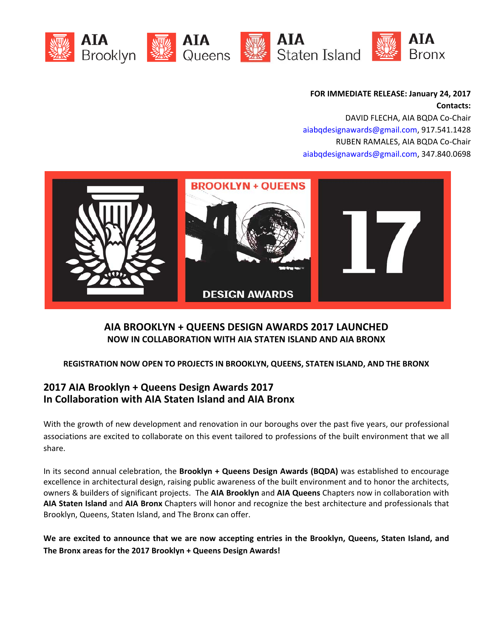

**FOR IMMEDIATE RELEASE: January 24, 2017 Contacts:**

DAVID FLECHA, AIA BQDA Co‐Chair aiabqdesignawards@gmail.com, 917.541.1428 RUBEN RAMALES, AIA BQDA Co‐Chair aiabqdesignawards@gmail.com, 347.840.0698



# **AIA BROOKLYN + QUEENS DESIGN AWARDS 2017 LAUNCHED NOW IN COLLABORATION WITH AIA STATEN ISLAND AND AIA BRONX**

### **REGISTRATION NOW OPEN TO PROJECTS IN BROOKLYN, QUEENS, STATEN ISLAND, AND THE BRONX**

# **2017 AIA Brooklyn + Queens Design Awards 2017 In Collaboration with AIA Staten Island and AIA Bronx**

With the growth of new development and renovation in our boroughs over the past five years, our professional associations are excited to collaborate on this event tailored to professions of the built environment that we all share.

In its second annual celebration, the **Brooklyn + Queens Design Awards (BQDA)** was established to encourage excellence in architectural design, raising public awareness of the built environment and to honor the architects, owners & builders of significant projects.The **AIA Brooklyn** and **AIA Queens** Chapters now in collaboration with **AIA Staten Island** and **AIA Bronx** Chapters will honor and recognize the best architecture and professionals that Brooklyn, Queens, Staten Island, and The Bronx can offer.

We are excited to announce that we are now accepting entries in the Brooklyn, Queens, Staten Island, and **The Bronx areas for the 2017 Brooklyn + Queens Design Awards!**